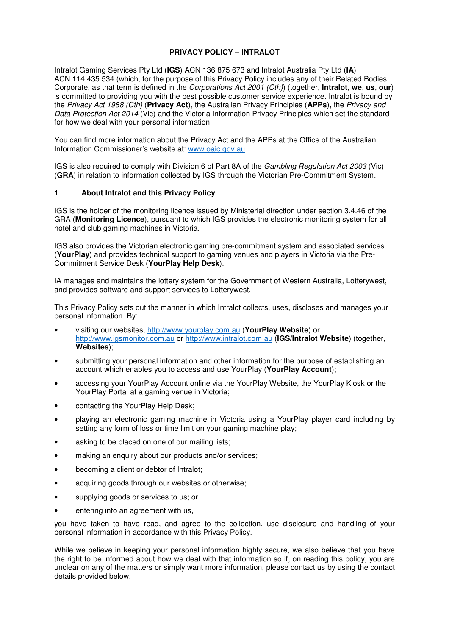### **PRIVACY POLICY – INTRALOT**

Intralot Gaming Services Pty Ltd (**IGS**) ACN 136 875 673 and Intralot Australia Pty Ltd (**IA**) ACN 114 435 534 (which, for the purpose of this Privacy Policy includes any of their Related Bodies Corporate, as that term is defined in the Corporations Act 2001 (Cth)) (together, **Intralot**, **we**, **us**, **our**) is committed to providing you with the best possible customer service experience. Intralot is bound by the Privacy Act 1988 (Cth) (**Privacy Act**), the Australian Privacy Principles (**APPs**)**,** the Privacy and Data Protection Act 2014 (Vic) and the Victoria Information Privacy Principles which set the standard for how we deal with your personal information.

You can find more information about the Privacy Act and the APPs at the Office of the Australian Information Commissioner's website at: www.oaic.gov.au.

IGS is also required to comply with Division 6 of Part 8A of the Gambling Regulation Act 2003 (Vic) (**GRA**) in relation to information collected by IGS through the Victorian Pre-Commitment System.

#### **1 About Intralot and this Privacy Policy**

IGS is the holder of the monitoring licence issued by Ministerial direction under section 3.4.46 of the GRA (**Monitoring Licence**), pursuant to which IGS provides the electronic monitoring system for all hotel and club gaming machines in Victoria.

IGS also provides the Victorian electronic gaming pre-commitment system and associated services (**YourPlay**) and provides technical support to gaming venues and players in Victoria via the Pre-Commitment Service Desk (**YourPlay Help Desk**).

IA manages and maintains the lottery system for the Government of Western Australia, Lotterywest, and provides software and support services to Lotterywest.

This Privacy Policy sets out the manner in which Intralot collects, uses, discloses and manages your personal information. By:

- visiting our websites, http://www.yourplay.com.au (**YourPlay Website**) or http://www.igsmonitor.com.au or http://www.intralot.com.au (**IGS/Intralot Website**) (together, **Websites**);
- submitting your personal information and other information for the purpose of establishing an account which enables you to access and use YourPlay (**YourPlay Account**);
- accessing your YourPlay Account online via the YourPlay Website, the YourPlay Kiosk or the YourPlay Portal at a gaming venue in Victoria;
- contacting the YourPlay Help Desk;
- playing an electronic gaming machine in Victoria using a YourPlay player card including by setting any form of loss or time limit on your gaming machine play;
- asking to be placed on one of our mailing lists;
- making an enquiry about our products and/or services;
- becoming a client or debtor of Intralot;
- acquiring goods through our websites or otherwise;
- supplying goods or services to us; or
- entering into an agreement with us,

you have taken to have read, and agree to the collection, use disclosure and handling of your personal information in accordance with this Privacy Policy.

While we believe in keeping your personal information highly secure, we also believe that you have the right to be informed about how we deal with that information so if, on reading this policy, you are unclear on any of the matters or simply want more information, please contact us by using the contact details provided below.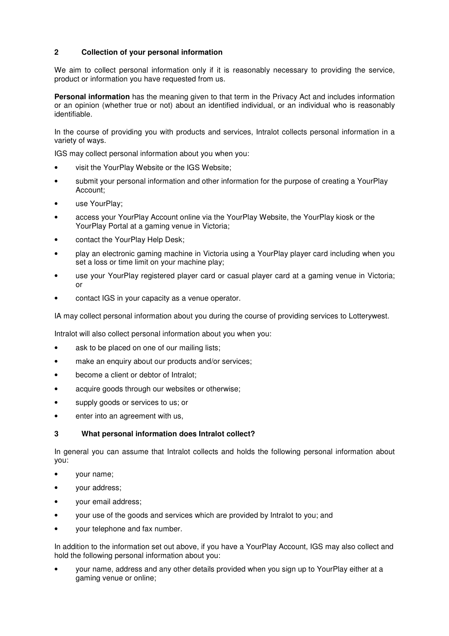# **2 Collection of your personal information**

We aim to collect personal information only if it is reasonably necessary to providing the service, product or information you have requested from us.

**Personal information** has the meaning given to that term in the Privacy Act and includes information or an opinion (whether true or not) about an identified individual, or an individual who is reasonably identifiable.

In the course of providing you with products and services, Intralot collects personal information in a variety of ways.

IGS may collect personal information about you when you:

- visit the YourPlay Website or the IGS Website;
- submit your personal information and other information for the purpose of creating a YourPlay Account;
- use YourPlay:
- access your YourPlay Account online via the YourPlay Website, the YourPlay kiosk or the YourPlay Portal at a gaming venue in Victoria;
- contact the YourPlay Help Desk;
- play an electronic gaming machine in Victoria using a YourPlay player card including when you set a loss or time limit on your machine play;
- use your YourPlay registered player card or casual player card at a gaming venue in Victoria; or
- contact IGS in your capacity as a venue operator.

IA may collect personal information about you during the course of providing services to Lotterywest.

Intralot will also collect personal information about you when you:

- ask to be placed on one of our mailing lists;
- make an enquiry about our products and/or services;
- become a client or debtor of Intralot;
- acquire goods through our websites or otherwise;
- supply goods or services to us; or
- enter into an agreement with us,

### **3 What personal information does Intralot collect?**

In general you can assume that Intralot collects and holds the following personal information about you:

- your name;
- your address;
- your email address;
- your use of the goods and services which are provided by Intralot to you; and
- your telephone and fax number.

In addition to the information set out above, if you have a YourPlay Account, IGS may also collect and hold the following personal information about you:

• your name, address and any other details provided when you sign up to YourPlay either at a gaming venue or online;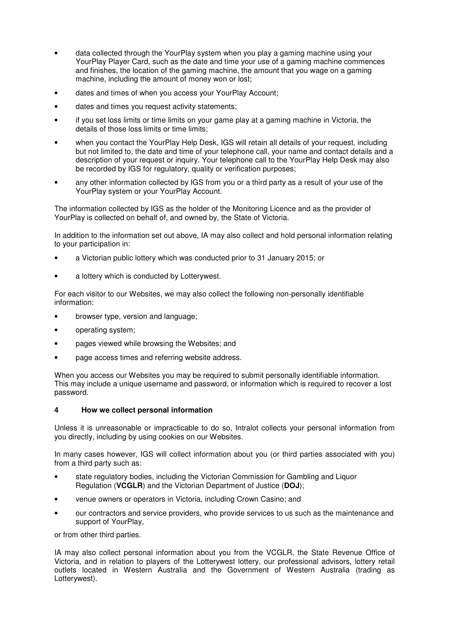- data collected through the YourPlay system when you play a gaming machine using your YourPlay Player Card, such as the date and time your use of a gaming machine commences and finishes, the location of the gaming machine, the amount that you wage on a gaming machine, including the amount of money won or lost;
- dates and times of when you access your YourPlay Account;
- dates and times you request activity statements;
- if you set loss limits or time limits on your game play at a gaming machine in Victoria, the details of those loss limits or time limits;
- when you contact the YourPlay Help Desk, IGS will retain all details of your request, including but not limited to, the date and time of your telephone call, your name and contact details and a description of your request or inquiry. Your telephone call to the YourPlay Help Desk may also be recorded by IGS for regulatory, quality or verification purposes;
- any other information collected by IGS from you or a third party as a result of your use of the YourPlay system or your YourPlay Account.

The information collected by IGS as the holder of the Monitoring Licence and as the provider of YourPlay is collected on behalf of, and owned by, the State of Victoria.

In addition to the information set out above, IA may also collect and hold personal information relating to your participation in:

- a Victorian public lottery which was conducted prior to 31 January 2015; or
- a lottery which is conducted by Lotterywest.

For each visitor to our Websites, we may also collect the following non-personally identifiable information:

- browser type, version and language;
- operating system;
- pages viewed while browsing the Websites; and
- page access times and referring website address.

When you access our Websites you may be required to submit personally identifiable information. This may include a unique username and password, or information which is required to recover a lost password.

### **4 How we collect personal information**

Unless it is unreasonable or impracticable to do so, Intralot collects your personal information from you directly, including by using cookies on our Websites.

In many cases however, IGS will collect information about you (or third parties associated with you) from a third party such as:

- state regulatory bodies, including the Victorian Commission for Gambling and Liquor Regulation (**VCGLR**) and the Victorian Department of Justice (**DOJ**);
- venue owners or operators in Victoria, including Crown Casino; and
- our contractors and service providers, who provide services to us such as the maintenance and support of YourPlay,

or from other third parties.

IA may also collect personal information about you from the VCGLR, the State Revenue Office of Victoria, and in relation to players of the Lotterywest lottery, our professional advisors, lottery retail outlets located in Western Australia and the Government of Western Australia (trading as Lotterywest).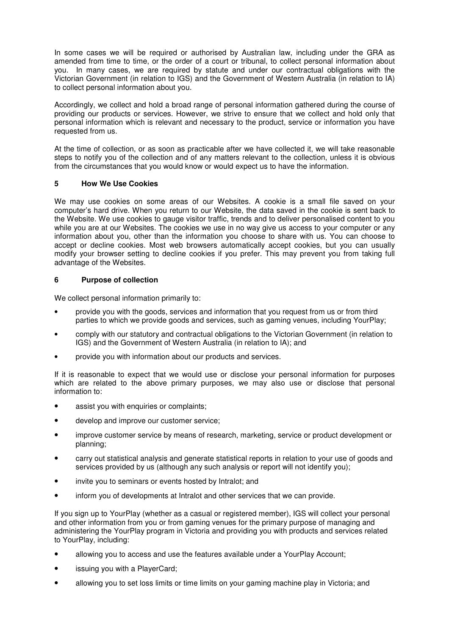In some cases we will be required or authorised by Australian law, including under the GRA as amended from time to time, or the order of a court or tribunal, to collect personal information about you. In many cases, we are required by statute and under our contractual obligations with the Victorian Government (in relation to IGS) and the Government of Western Australia (in relation to IA) to collect personal information about you.

Accordingly, we collect and hold a broad range of personal information gathered during the course of providing our products or services. However, we strive to ensure that we collect and hold only that personal information which is relevant and necessary to the product, service or information you have requested from us.

At the time of collection, or as soon as practicable after we have collected it, we will take reasonable steps to notify you of the collection and of any matters relevant to the collection, unless it is obvious from the circumstances that you would know or would expect us to have the information.

## **5 How We Use Cookies**

We may use cookies on some areas of our Websites. A cookie is a small file saved on your computer's hard drive. When you return to our Website, the data saved in the cookie is sent back to the Website. We use cookies to gauge visitor traffic, trends and to deliver personalised content to you while you are at our Websites. The cookies we use in no way give us access to your computer or any information about you, other than the information you choose to share with us. You can choose to accept or decline cookies. Most web browsers automatically accept cookies, but you can usually modify your browser setting to decline cookies if you prefer. This may prevent you from taking full advantage of the Websites.

### **6 Purpose of collection**

We collect personal information primarily to:

- provide you with the goods, services and information that you request from us or from third parties to which we provide goods and services, such as gaming venues, including YourPlay;
- comply with our statutory and contractual obligations to the Victorian Government (in relation to IGS) and the Government of Western Australia (in relation to IA); and
- provide you with information about our products and services.

If it is reasonable to expect that we would use or disclose your personal information for purposes which are related to the above primary purposes, we may also use or disclose that personal information to:

- assist you with enquiries or complaints;
- develop and improve our customer service;
- improve customer service by means of research, marketing, service or product development or planning;
- carry out statistical analysis and generate statistical reports in relation to your use of goods and services provided by us (although any such analysis or report will not identify you);
- invite you to seminars or events hosted by Intralot; and
- inform you of developments at Intralot and other services that we can provide.

If you sign up to YourPlay (whether as a casual or registered member), IGS will collect your personal and other information from you or from gaming venues for the primary purpose of managing and administering the YourPlay program in Victoria and providing you with products and services related to YourPlay, including:

- allowing you to access and use the features available under a YourPlay Account;
- issuing you with a PlayerCard;
- allowing you to set loss limits or time limits on your gaming machine play in Victoria; and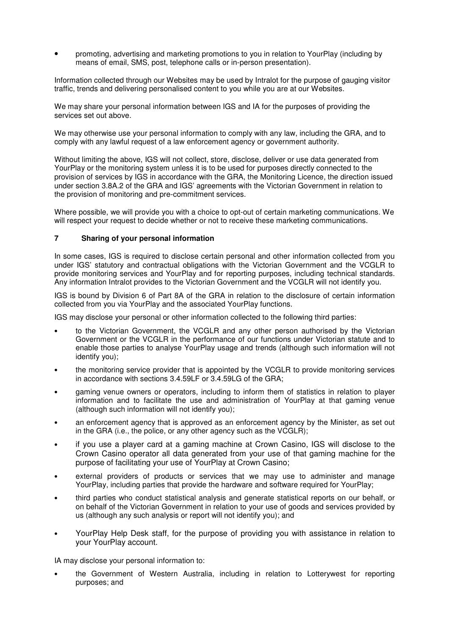• promoting, advertising and marketing promotions to you in relation to YourPlay (including by means of email, SMS, post, telephone calls or in-person presentation).

Information collected through our Websites may be used by Intralot for the purpose of gauging visitor traffic, trends and delivering personalised content to you while you are at our Websites.

We may share your personal information between IGS and IA for the purposes of providing the services set out above.

We may otherwise use your personal information to comply with any law, including the GRA, and to comply with any lawful request of a law enforcement agency or government authority.

Without limiting the above, IGS will not collect, store, disclose, deliver or use data generated from YourPlay or the monitoring system unless it is to be used for purposes directly connected to the provision of services by IGS in accordance with the GRA, the Monitoring Licence, the direction issued under section 3.8A.2 of the GRA and IGS' agreements with the Victorian Government in relation to the provision of monitoring and pre-commitment services.

Where possible, we will provide you with a choice to opt-out of certain marketing communications. We will respect your request to decide whether or not to receive these marketing communications.

#### **7 Sharing of your personal information**

In some cases, IGS is required to disclose certain personal and other information collected from you under IGS' statutory and contractual obligations with the Victorian Government and the VCGLR to provide monitoring services and YourPlay and for reporting purposes, including technical standards. Any information Intralot provides to the Victorian Government and the VCGLR will not identify you.

IGS is bound by Division 6 of Part 8A of the GRA in relation to the disclosure of certain information collected from you via YourPlay and the associated YourPlay functions.

IGS may disclose your personal or other information collected to the following third parties:

- to the Victorian Government, the VCGLR and any other person authorised by the Victorian Government or the VCGLR in the performance of our functions under Victorian statute and to enable those parties to analyse YourPlay usage and trends (although such information will not identify you);
- the monitoring service provider that is appointed by the VCGLR to provide monitoring services in accordance with sections 3.4.59LF or 3.4.59LG of the GRA;
- gaming venue owners or operators, including to inform them of statistics in relation to player information and to facilitate the use and administration of YourPlay at that gaming venue (although such information will not identify you);
- an enforcement agency that is approved as an enforcement agency by the Minister, as set out in the GRA (i.e., the police, or any other agency such as the VCGLR);
- if you use a player card at a gaming machine at Crown Casino, IGS will disclose to the Crown Casino operator all data generated from your use of that gaming machine for the purpose of facilitating your use of YourPlay at Crown Casino;
- external providers of products or services that we may use to administer and manage YourPlay, including parties that provide the hardware and software required for YourPlay;
- third parties who conduct statistical analysis and generate statistical reports on our behalf, or on behalf of the Victorian Government in relation to your use of goods and services provided by us (although any such analysis or report will not identify you); and
- YourPlay Help Desk staff, for the purpose of providing you with assistance in relation to your YourPlay account.

IA may disclose your personal information to:

• the Government of Western Australia, including in relation to Lotterywest for reporting purposes; and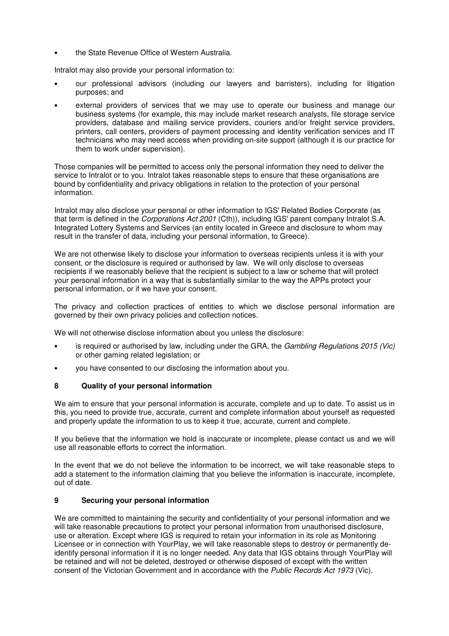the State Revenue Office of Western Australia.

Intralot may also provide your personal information to:

- our professional advisors (including our lawyers and barristers), including for litigation purposes; and
- external providers of services that we may use to operate our business and manage our business systems (for example, this may include market research analysts, file storage service providers, database and mailing service providers, couriers and/or freight service providers, printers, call centers, providers of payment processing and identity verification services and IT technicians who may need access when providing on-site support (although it is our practice for them to work under supervision).

Those companies will be permitted to access only the personal information they need to deliver the service to Intralot or to you. Intralot takes reasonable steps to ensure that these organisations are bound by confidentiality and privacy obligations in relation to the protection of your personal information.

Intralot may also disclose your personal or other information to IGS' Related Bodies Corporate (as that term is defined in the Corporations Act 2001 (Cth)), including IGS' parent company Intralot S.A. Integrated Lottery Systems and Services (an entity located in Greece and disclosure to whom may result in the transfer of data, including your personal information, to Greece).

We are not otherwise likely to disclose your information to overseas recipients unless it is with your consent, or the disclosure is required or authorised by law. We will only disclose to overseas recipients if we reasonably believe that the recipient is subject to a law or scheme that will protect your personal information in a way that is substantially similar to the way the APPs protect your personal information, or if we have your consent.

The privacy and collection practices of entities to which we disclose personal information are governed by their own privacy policies and collection notices.

We will not otherwise disclose information about you unless the disclosure:

- is required or authorised by law, including under the GRA, the Gambling Requilations 2015 (Vic) or other gaming related legislation; or
- you have consented to our disclosing the information about you.

### **8 Quality of your personal information**

We aim to ensure that your personal information is accurate, complete and up to date. To assist us in this, you need to provide true, accurate, current and complete information about yourself as requested and properly update the information to us to keep it true, accurate, current and complete.

If you believe that the information we hold is inaccurate or incomplete, please contact us and we will use all reasonable efforts to correct the information.

In the event that we do not believe the information to be incorrect, we will take reasonable steps to add a statement to the information claiming that you believe the information is inaccurate, incomplete, out of date.

### **9 Securing your personal information**

We are committed to maintaining the security and confidentiality of your personal information and we will take reasonable precautions to protect your personal information from unauthorised disclosure, use or alteration. Except where IGS is required to retain your information in its role as Monitoring Licensee or in connection with YourPlay, we will take reasonable steps to destroy or permanently deidentify personal information if it is no longer needed. Any data that IGS obtains through YourPlay will be retained and will not be deleted, destroyed or otherwise disposed of except with the written consent of the Victorian Government and in accordance with the Public Records Act 1973 (Vic).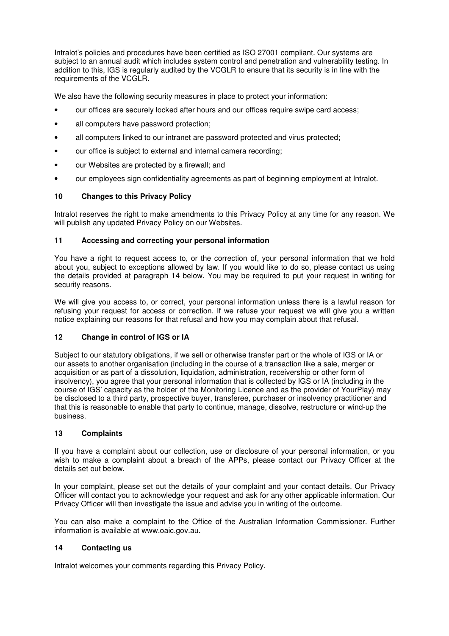Intralot's policies and procedures have been certified as ISO 27001 compliant. Our systems are subject to an annual audit which includes system control and penetration and vulnerability testing. In addition to this, IGS is regularly audited by the VCGLR to ensure that its security is in line with the requirements of the VCGLR.

We also have the following security measures in place to protect your information:

- our offices are securely locked after hours and our offices require swipe card access;
- all computers have password protection:
- all computers linked to our intranet are password protected and virus protected;
- our office is subject to external and internal camera recording;
- our Websites are protected by a firewall; and
- our employees sign confidentiality agreements as part of beginning employment at Intralot.

## **10 Changes to this Privacy Policy**

Intralot reserves the right to make amendments to this Privacy Policy at any time for any reason. We will publish any updated Privacy Policy on our Websites.

### **11 Accessing and correcting your personal information**

You have a right to request access to, or the correction of, your personal information that we hold about you, subject to exceptions allowed by law. If you would like to do so, please contact us using the details provided at paragraph 14 below. You may be required to put your request in writing for security reasons.

We will give you access to, or correct, your personal information unless there is a lawful reason for refusing your request for access or correction. If we refuse your request we will give you a written notice explaining our reasons for that refusal and how you may complain about that refusal.

# **12 Change in control of IGS or IA**

Subject to our statutory obligations, if we sell or otherwise transfer part or the whole of IGS or IA or our assets to another organisation (including in the course of a transaction like a sale, merger or acquisition or as part of a dissolution, liquidation, administration, receivership or other form of insolvency), you agree that your personal information that is collected by IGS or IA (including in the course of IGS' capacity as the holder of the Monitoring Licence and as the provider of YourPlay) may be disclosed to a third party, prospective buyer, transferee, purchaser or insolvency practitioner and that this is reasonable to enable that party to continue, manage, dissolve, restructure or wind-up the business.

### **13 Complaints**

If you have a complaint about our collection, use or disclosure of your personal information, or you wish to make a complaint about a breach of the APPs, please contact our Privacy Officer at the details set out below.

In your complaint, please set out the details of your complaint and your contact details. Our Privacy Officer will contact you to acknowledge your request and ask for any other applicable information. Our Privacy Officer will then investigate the issue and advise you in writing of the outcome.

You can also make a complaint to the Office of the Australian Information Commissioner. Further information is available at www.oaic.gov.au.

### **14 Contacting us**

Intralot welcomes your comments regarding this Privacy Policy.